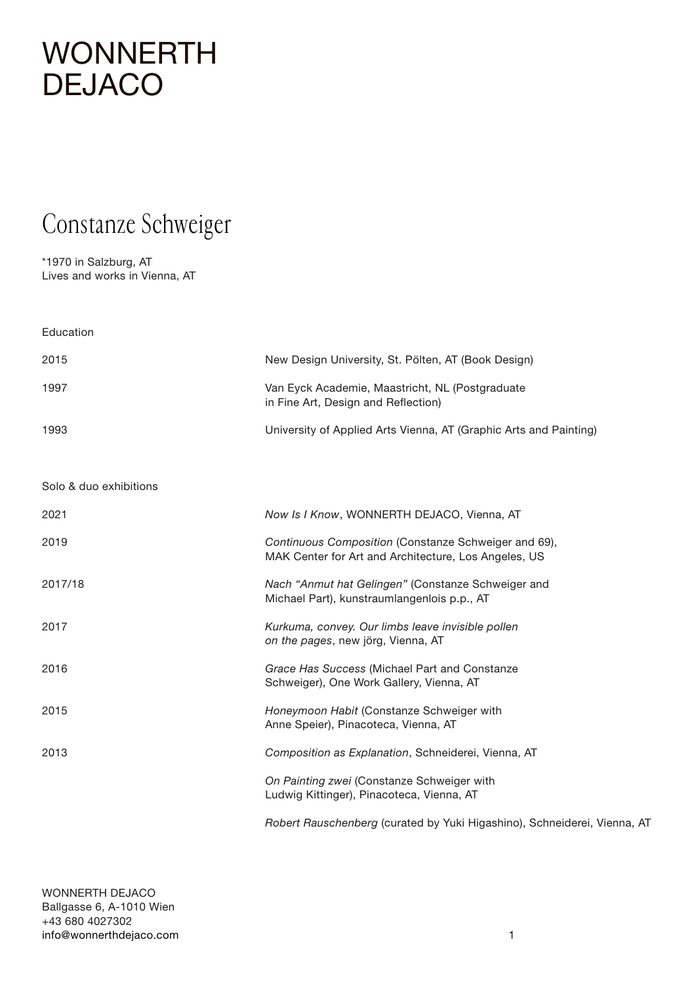#### Constanze Schweiger

\*1970 in Salzburg, AT Lives and works in Vienna, AT

| Education              |                                                                                                              |
|------------------------|--------------------------------------------------------------------------------------------------------------|
| 2015                   | New Design University, St. Pölten, AT (Book Design)                                                          |
| 1997                   | Van Eyck Academie, Maastricht, NL (Postgraduate<br>in Fine Art, Design and Reflection)                       |
| 1993                   | University of Applied Arts Vienna, AT (Graphic Arts and Painting)                                            |
| Solo & duo exhibitions |                                                                                                              |
| 2021                   | Now Is I Know, WONNERTH DEJACO, Vienna, AT                                                                   |
| 2019                   | Continuous Composition (Constanze Schweiger and 69),<br>MAK Center for Art and Architecture, Los Angeles, US |
| 2017/18                | Nach "Anmut hat Gelingen" (Constanze Schweiger and<br>Michael Part), kunstraumlangenlois p.p., AT            |
| 2017                   | Kurkuma, convey. Our limbs leave invisible pollen<br>on the pages, new jörg, Vienna, AT                      |
| 2016                   | Grace Has Success (Michael Part and Constanze<br>Schweiger), One Work Gallery, Vienna, AT                    |
| 2015                   | Honeymoon Habit (Constanze Schweiger with<br>Anne Speier), Pinacoteca, Vienna, AT                            |
| 2013                   | Composition as Explanation, Schneiderei, Vienna, AT                                                          |
|                        | On Painting zwei (Constanze Schweiger with<br>Ludwig Kittinger), Pinacoteca, Vienna, AT                      |
|                        | Robert Rauschenberg (curated by Yuki Higashino), Schneiderei, Vienna, AT                                     |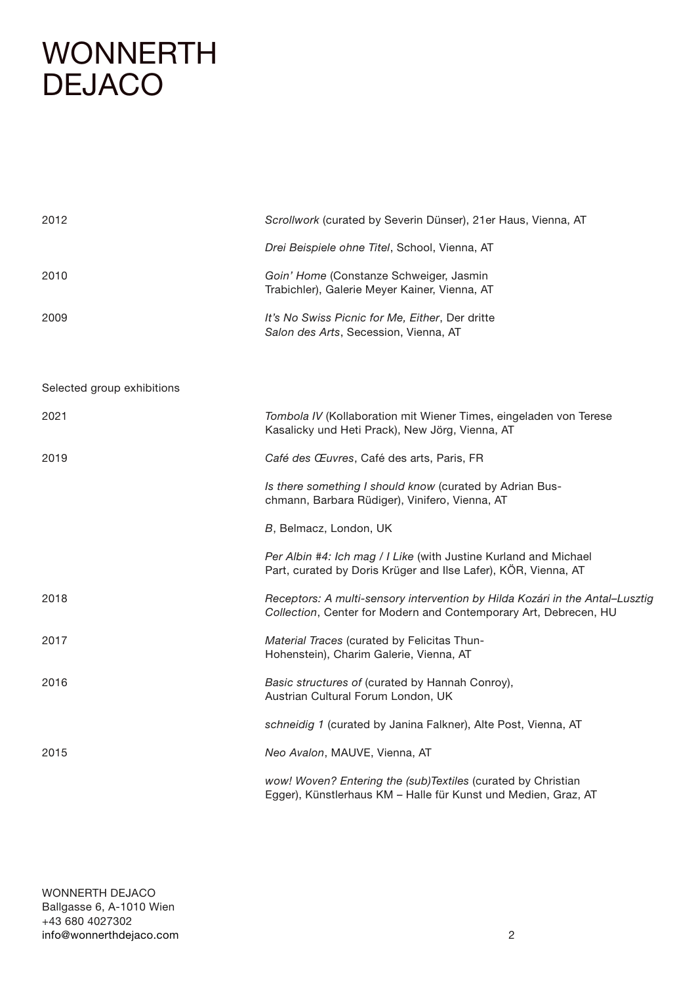| 2012                       | Scrollwork (curated by Severin Dünser), 21er Haus, Vienna, AT                                                                                    |
|----------------------------|--------------------------------------------------------------------------------------------------------------------------------------------------|
|                            | Drei Beispiele ohne Titel, School, Vienna, AT                                                                                                    |
| 2010                       | Goin' Home (Constanze Schweiger, Jasmin<br>Trabichler), Galerie Meyer Kainer, Vienna, AT                                                         |
| 2009                       | It's No Swiss Picnic for Me, Either, Der dritte<br>Salon des Arts, Secession, Vienna, AT                                                         |
|                            |                                                                                                                                                  |
| Selected group exhibitions |                                                                                                                                                  |
| 2021                       | Tombola IV (Kollaboration mit Wiener Times, eingeladen von Terese<br>Kasalicky und Heti Prack), New Jörg, Vienna, AT                             |
| 2019                       | Café des Œuvres, Café des arts, Paris, FR                                                                                                        |
|                            | Is there something I should know (curated by Adrian Bus-<br>chmann, Barbara Rüdiger), Vinifero, Vienna, AT                                       |
|                            | B, Belmacz, London, UK                                                                                                                           |
|                            | Per Albin #4: Ich mag / I Like (with Justine Kurland and Michael<br>Part, curated by Doris Krüger and Ilse Lafer), KÖR, Vienna, AT               |
| 2018                       | Receptors: A multi-sensory intervention by Hilda Kozári in the Antal-Lusztig<br>Collection, Center for Modern and Contemporary Art, Debrecen, HU |
| 2017                       | Material Traces (curated by Felicitas Thun-<br>Hohenstein), Charim Galerie, Vienna, AT                                                           |
| 2016                       | Basic structures of (curated by Hannah Conroy),<br>Austrian Cultural Forum London, UK                                                            |
|                            | schneidig 1 (curated by Janina Falkner), Alte Post, Vienna, AT                                                                                   |
| 2015                       | Neo Avalon, MAUVE, Vienna, AT                                                                                                                    |
|                            | wow! Woven? Entering the (sub)Textiles (curated by Christian<br>Egger), Künstlerhaus KM - Halle für Kunst und Medien, Graz, AT                   |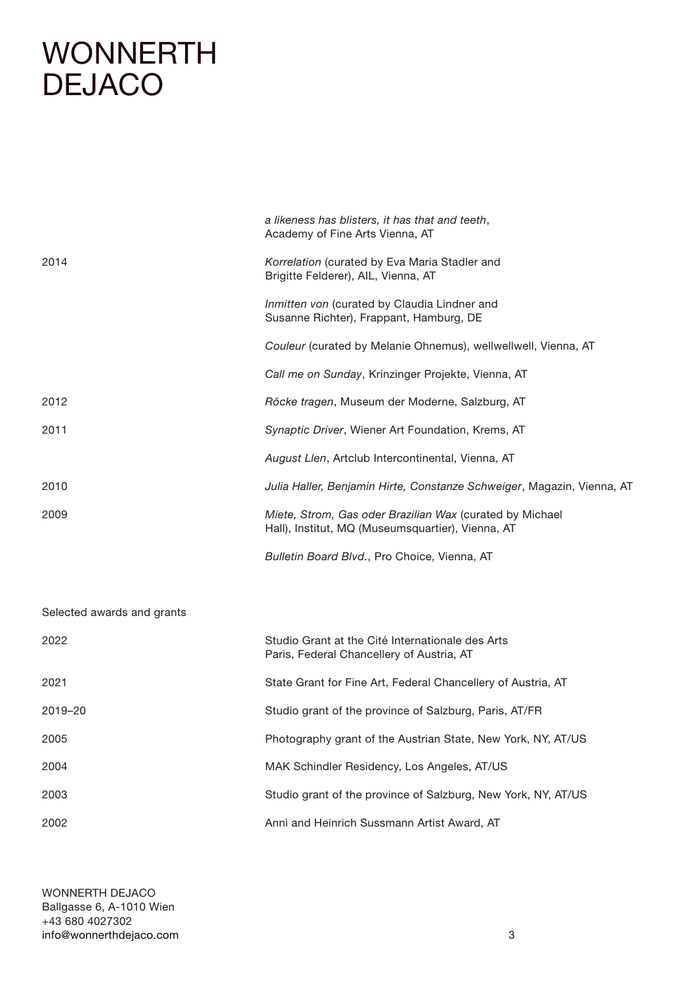|                            | a likeness has blisters, it has that and teeth,<br>Academy of Fine Arts Vienna, AT                            |
|----------------------------|---------------------------------------------------------------------------------------------------------------|
| 2014                       | Korrelation (curated by Eva Maria Stadler and<br>Brigitte Felderer), AIL, Vienna, AT                          |
|                            | Inmitten von (curated by Claudia Lindner and<br>Susanne Richter), Frappant, Hamburg, DE                       |
|                            | Couleur (curated by Melanie Ohnemus), wellwellwell, Vienna, AT                                                |
|                            | Call me on Sunday, Krinzinger Projekte, Vienna, AT                                                            |
| 2012                       | Röcke tragen, Museum der Moderne, Salzburg, AT                                                                |
| 2011                       | Synaptic Driver, Wiener Art Foundation, Krems, AT                                                             |
|                            | August Llen, Artclub Intercontinental, Vienna, AT                                                             |
| 2010                       | Julia Haller, Benjamin Hirte, Constanze Schweiger, Magazin, Vienna, AT                                        |
| 2009                       | Miete, Strom, Gas oder Brazilian Wax (curated by Michael<br>Hall), Institut, MQ (Museumsquartier), Vienna, AT |
|                            | Bulletin Board Blvd., Pro Choice, Vienna, AT                                                                  |
|                            |                                                                                                               |
| Selected awards and grants |                                                                                                               |
| 2022                       | Studio Grant at the Cité Internationale des Arts<br>Paris, Federal Chancellery of Austria, AT                 |
| 2021                       | State Grant for Fine Art, Federal Chancellery of Austria, AT                                                  |
| 2019-20                    | Studio grant of the province of Salzburg, Paris, AT/FR                                                        |
| 2005                       | Photography grant of the Austrian State, New York, NY, AT/US                                                  |
| 2004                       | MAK Schindler Residency, Los Angeles, AT/US                                                                   |
| 2003                       | Studio grant of the province of Salzburg, New York, NY, AT/US                                                 |
| 2002                       | Anni and Heinrich Sussmann Artist Award, AT                                                                   |
|                            |                                                                                                               |